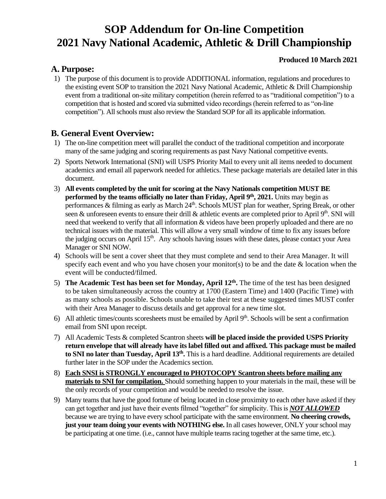# **SOP Addendum for On-line Competition 2021 Navy National Academic, Athletic & Drill Championship**

## **Produced 10 March 2021**

## **A. Purpose:**

1) The purpose of this document is to provide ADDITIONAL information, regulations and procedures to the existing event SOP to transition the 2021 Navy National Academic, Athletic & Drill Championship event from a traditional on-site military competition (herein referred to as "traditional competition") to a competition that is hosted and scored via submitted video recordings (herein referred to as "on-line competition"). All schools must also review the Standard SOP for all its applicable information.

## **B. General Event Overview:**

- 1) The on-line competition meet will parallel the conduct of the traditional competition and incorporate many of the same judging and scoring requirements as past Navy National competitive events.
- 2) Sports Network International (SNI) will USPS Priority Mail to every unit all items needed to document academics and email all paperwork needed for athletics. These package materials are detailed later in this document.
- 3) **All events completed by the unit for scoring at the Navy Nationals competition MUST BE performed by the teams officially no later than Friday, April 9th, 2021.** Units may begin as performances  $\&$  filming as early as March  $24^{\text{th}}$ . Schools MUST plan for weather, Spring Break, or other seen & unforeseen events to ensure their drill & athletic events are completed prior to April 9<sup>th</sup>. SNI will need that weekend to verify that all information & videos have been properly uploaded and there are no technical issues with the material. This will allow a very small window of time to fix any issues before the judging occurs on April 15<sup>th</sup>. Any schools having issues with these dates, please contact your Area Manager or SNI NOW.
- 4) Schools will be sent a cover sheet that they must complete and send to their Area Manager. It will specify each event and who you have chosen your monitor(s) to be and the date  $\&$  location when the event will be conducted/filmed.
- 5) **The Academic Test has been set for Monday, April 12th .** The time of the test has been designed to be taken simultaneously across the country at 1700 (Eastern Time) and 1400 (Pacific Time) with as many schools as possible. Schools unable to take their test at these suggested times MUST confer with their Area Manager to discuss details and get approval for a new time slot.
- 6) All athletic times/counts scoresheets must be emailed by April  $9<sup>th</sup>$ . Schools will be sent a confirmation email from SNI upon receipt.
- 7) All Academic Tests & completed Scantron sheets **will be placed inside the provided USPS Priority return envelope that will already have its label filled out and affixed. This package must be mailed to SNI no later than Tuesday, April 13th .** This is a hard deadline. Additional requirements are detailed further later in the SOP under the Academics section.
- 8) **Each SNSI is STRONGLY encouraged to PHOTOCOPY Scantron sheets before mailing any materials to SNI for compilation.** Should something happen to your materials in the mail, these will be the only records of your competition and would be needed to resolve the issue.
- 9) Many teams that have the good fortune of being located in close proximity to each other have asked if they can get together and just have their events filmed "together" for simplicity. This is *NOT ALLOWED*  because we are trying to have every school participate with the same environment. **No cheering crowds, just your team doing your events with NOTHING else.** In all cases however, ONLY your school may be participating at one time. (i.e., cannot have multiple teams racing together at the same time, etc.).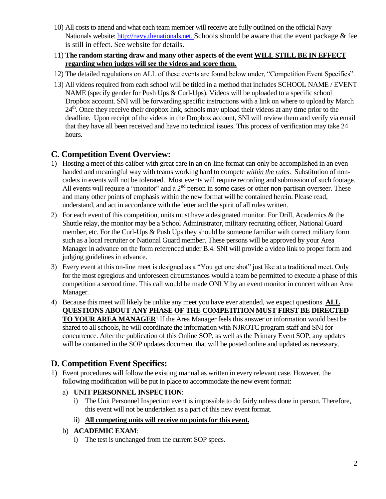- 10) All costs to attend and what each team member will receive are fully outlined on the official Navy Nationals website: [http://navy.thenationals.net.](http://navy.thenationals.net/) Schools should be aware that the event package & fee is still in effect. See website for details.
- 11) **The random starting draw and many other aspects of the event WILL STILL BE IN EFFECT regarding when judges will see the videos and score them.**
- 12) The detailed regulations on ALL of these events are found below under, "Competition Event Specifics".
- 13) All videos required from each school will be titled in a method that includes SCHOOL NAME / EVENT NAME (specify gender for Push Ups & Curl-Ups). Videos will be uploaded to a specific school Dropbox account. SNI will be forwarding specific instructions with a link on where to upload by March 24<sup>th</sup>. Once they receive their dropbox link, schools may upload their videos at any time prior to the deadline. Upon receipt of the videos in the Dropbox account, SNI will review them and verify via email that they have all been received and have no technical issues. This process of verification may take 24 hours.

## **C. Competition Event Overview:**

- 1) Hosting a meet of this caliber with great care in an on-line format can only be accomplished in an evenhanded and meaningful way with teams working hard to compete *within the rules*. Substitution of noncadets in events will not be tolerated. Most events will require recording and submission of such footage. All events will require a "monitor" and a 2<sup>nd</sup> person in some cases or other non-partisan overseer. These and many other points of emphasis within the new format will be contained herein. Please read, understand, and act in accordance with the letter and the spirit of all rules written.
- 2) For each event of this competition, units must have a designated monitor. For Drill, Academics & the Shuttle relay, the monitor may be a School Administrator, military recruiting officer, National Guard member, etc. For the Curl-Ups & Push Ups they should be someone familiar with correct military form such as a local recruiter or National Guard member. These persons will be approved by your Area Manager in advance on the form referenced under B.4. SNI will provide a video link to proper form and judging guidelines in advance.
- 3) Every event at this on-line meet is designed as a "You get one shot" just like at a traditional meet. Only for the most egregious and unforeseen circumstances would a team be permitted to execute a phase of this competition a second time. This call would be made ONLY by an event monitor in concert with an Area Manager.
- 4) Because this meet will likely be unlike any meet you have ever attended, we expect questions. **ALL QUESTIONS ABOUT ANY PHASE OF THE COMPETITION MUST FIRST BE DIRECTED TO YOUR AREA MANAGER**! If the Area Manager feels this answer or information would best be shared to all schools, he will coordinate the information with NJROTC program staff and SNI for concurrence. After the publication of this Online SOP, as well as the Primary Event SOP, any updates will be contained in the SOP updates document that will be posted online and updated as necessary.

# **D. Competition Event Specifics:**

- 1) Event procedures will follow the existing manual as written in every relevant case. However, the following modification will be put in place to accommodate the new event format:
	- a) **UNIT PERSONNEL INSPECTION**:
		- i) The Unit Personnel Inspection event is impossible to do fairly unless done in person. Therefore, this event will not be undertaken as a part of this new event format.
		- ii) **All competing units will receive no points for this event.**
	- b) **ACADEMIC EXAM**:
		- i) The test is unchanged from the current SOP specs.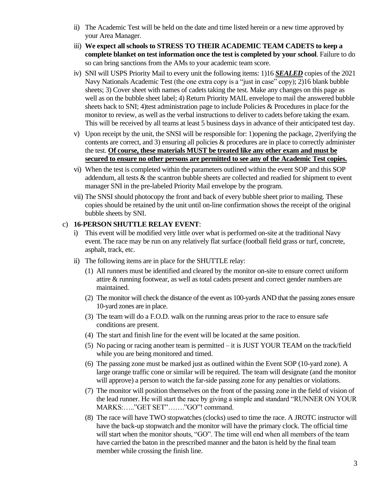- ii) The Academic Test will be held on the date and time listed herein or a new time approved by your Area Manager.
- iii) **We expect all schools to STRESS TO THEIR ACADEMIC TEAM CADETS to keep a complete blanket on test information once the test is completed by your school**. Failure to do so can bring sanctions from the AMs to your academic team score.
- iv) SNI will USPS Priority Mail to every unit the following items: 1)16 *SEALED* copies of the 2021 Navy Nationals Academic Test (the one extra copy is a "just in case" copy); 2)16 blank bubble sheets; 3) Cover sheet with names of cadets taking the test. Make any changes on this page as well as on the bubble sheet label; 4) Return Priority MAIL envelope to mail the answered bubble sheets back to SNI; 4)test administration page to include Policies & Procedures in place for the monitor to review, as well as the verbal instructions to deliver to cadets before taking the exam. This will be received by all teams at least 5 business days in advance of their anticipated test day.
- v) Upon receipt by the unit, the SNSI will be responsible for: 1)opening the package, 2)verifying the contents are correct, and 3) ensuring all policies & procedures are in place to correctly administer the test. **Of course, these materials MUST be treated like any other exam and must be secured to ensure no other persons are permitted to see any of the Academic Test copies.**
- vi) When the test is completed within the parameters outlined within the event SOP and this SOP addendum, all tests & the scantron bubble sheets are collected and readied for shipment to event manager SNI in the pre-labeled Priority Mail envelope by the program.
- vii) The SNSI should photocopy the front and back of every bubble sheet prior to mailing. These copies should be retained by the unit until on-line confirmation shows the receipt of the original bubble sheets by SNI.

#### c) **16-PERSON SHUTTLE RELAY EVENT**:

- i) This event will be modified very little over what is performed on-site at the traditional Navy event. The race may be run on any relatively flat surface (football field grass or turf, concrete, asphalt, track, etc.
- ii) The following items are in place for the SHUTTLE relay:
	- (1) All runners must be identified and cleared by the monitor on-site to ensure correct uniform attire & running footwear, as well as total cadets present and correct gender numbers are maintained.
	- (2) The monitor will check the distance of the event as 100-yards AND that the passing zones ensure 10-yard zones are in place.
	- (3) The team will do a F.O.D. walk on the running areas prior to the race to ensure safe conditions are present.
	- (4) The start and finish line for the event will be located at the same position.
	- (5) No pacing or racing another team is permitted it is JUST YOUR TEAM on the track/field while you are being monitored and timed.
	- (6) The passing zone must be marked just as outlined within the Event SOP (10-yard zone). A large orange traffic cone or similar will be required. The team will designate (and the monitor will approve) a person to watch the far-side passing zone for any penalties or violations.
	- (7) The monitor will position themselves on the front of the passing zone in the field of vision of the lead runner. He will start the race by giving a simple and standard "RUNNER ON YOUR MARKS:….."GET SET"……."GO"! command.
	- (8) The race will have TWO stopwatches (clocks) used to time the race. A JROTC instructor will have the back-up stopwatch and the monitor will have the primary clock. The official time will start when the monitor shouts, "GO". The time will end when all members of the team have carried the baton in the prescribed manner and the baton is held by the final team member while crossing the finish line.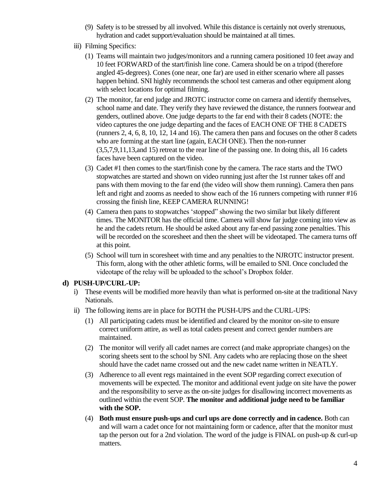- (9) Safety is to be stressed by all involved. While this distance is certainly not overly strenuous, hydration and cadet support/evaluation should be maintained at all times.
- iii) Filming Specifics:
	- (1) Teams will maintain two judges/monitors and a running camera positioned 10 feet away and 10 feet FORWARD of the start/finish line cone. Camera should be on a tripod (therefore angled 45-degrees). Cones (one near, one far) are used in either scenario where all passes happen behind. SNI highly recommends the school test cameras and other equipment along with select locations for optimal filming.
	- (2) The monitor, far end judge and JROTC instructor come on camera and identify themselves, school name and date. They verify they have reviewed the distance, the runners footwear and genders, outlined above. One judge departs to the far end with their 8 cadets (NOTE: the video captures the one judge departing and the faces of EACH ONE OF THE 8 CADETS (runners 2, 4, 6, 8, 10, 12, 14 and 16). The camera then pans and focuses on the other 8 cadets who are forming at the start line (again, EACH ONE). Then the non-runner (3,5,7,9,11,13,and 15) retreat to the rear line of the passing one. In doing this, all 16 cadets faces have been captured on the video.
	- (3) Cadet #1 then comes to the start/finish cone by the camera. The race starts and the TWO stopwatches are started and shown on video running just after the 1st runner takes off and pans with them moving to the far end (the video will show them running). Camera then pans left and right and zooms as needed to show each of the 16 runners competing with runner #16 crossing the finish line, KEEP CAMERA RUNNING!
	- (4) Camera then pans to stopwatches 'stopped" showing the two similar but likely different times. The MONITOR has the official time. Camera will show far judge coming into view as he and the cadets return. He should be asked about any far-end passing zone penalties. This will be recorded on the scoresheet and then the sheet will be videotaped. The camera turns off at this point.
	- (5) School will turn in scoresheet with time and any penalties to the NJROTC instructor present. This form, along with the other athletic forms, will be emailed to SNI. Once concluded the videotape of the relay will be uploaded to the school's Dropbox folder.

#### **d) PUSH-UP/CURL-UP:**

- i) These events will be modified more heavily than what is performed on-site at the traditional Navy Nationals.
- ii) The following items are in place for BOTH the PUSH-UPS and the CURL-UPS:
	- (1) All participating cadets must be identified and cleared by the monitor on-site to ensure correct uniform attire, as well as total cadets present and correct gender numbers are maintained.
	- (2) The monitor will verify all cadet names are correct (and make appropriate changes) on the scoring sheets sent to the school by SNI. Any cadets who are replacing those on the sheet should have the cadet name crossed out and the new cadet name written in NEATLY.
	- (3) Adherence to all event regs maintained in the event SOP regarding correct execution of movements will be expected. The monitor and additional event judge on site have the power and the responsibility to serve as the on-site judges for disallowing incorrect movements as outlined within the event SOP. **The monitor and additional judge need to be familiar with the SOP.**
	- (4) **Both must ensure push-ups and curl ups are done correctly and in cadence.** Both can and will warn a cadet once for not maintaining form or cadence, after that the monitor must tap the person out for a 2nd violation. The word of the judge is  $FINAL$  on push-up  $\&$  curl-up matters.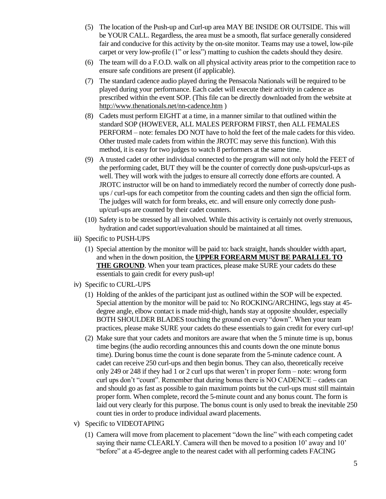- (5) The location of the Push-up and Curl-up area MAY BE INSIDE OR OUTSIDE. This will be YOUR CALL. Regardless, the area must be a smooth, flat surface generally considered fair and conducive for this activity by the on-site monitor. Teams may use a towel, low-pile carpet or very low-profile (1" or less") matting to cushion the cadets should they desire.
- (6) The team will do a F.O.D. walk on all physical activity areas prior to the competition race to ensure safe conditions are present (if applicable).
- (7) The standard cadence audio played during the Pensacola Nationals will be required to be played during your performance. Each cadet will execute their activity in cadence as prescribed within the event SOP. (This file can be directly downloaded from the website at <http://www.thenationals.net/nn-cadence.htm> )
- (8) Cadets must perform EIGHT at a time, in a manner similar to that outlined within the standard SOP (HOWEVER, ALL MALES PERFORM FIRST, then ALL FEMALES PERFORM – note: females DO NOT have to hold the feet of the male cadets for this video. Other trusted male cadets from within the JROTC may serve this function). With this method, it is easy for two judges to watch 8 performers at the same time.
- (9) A trusted cadet or other individual connected to the program will not only hold the FEET of the performing cadet, BUT they will be the counter of correctly done push-ups/curl-ups as well. They will work with the judges to ensure all correctly done efforts are counted. A JROTC instructor will be on hand to immediately record the number of correctly done pushups / curl-ups for each competitor from the counting cadets and then sign the official form. The judges will watch for form breaks, etc. and will ensure only correctly done pushup/curl-ups are counted by their cadet counters.
- (10) Safety is to be stressed by all involved. While this activity is certainly not overly strenuous, hydration and cadet support/evaluation should be maintained at all times.
- iii) Specific to PUSH-UPS
	- (1) Special attention by the monitor will be paid to: back straight, hands shoulder width apart, and when in the down position, the **UPPER FOREARM MUST BE PARALLEL TO THE GROUND**. When your team practices, please make SURE your cadets do these essentials to gain credit for every push-up!
- iv) Specific to CURL-UPS
	- (1) Holding of the ankles of the participant just as outlined within the SOP will be expected. Special attention by the monitor will be paid to: No ROCKING/ARCHING, legs stay at 45 degree angle, elbow contact is made mid-thigh, hands stay at opposite shoulder, especially BOTH SHOULDER BLADES touching the ground on every "down". When your team practices, please make SURE your cadets do these essentials to gain credit for every curl-up!
	- (2) Make sure that your cadets and monitors are aware that when the 5 minute time is up, bonus time begins (the audio recording announces this and counts down the one minute bonus time). During bonus time the count is done separate from the 5-minute cadence count. A cadet can receive 250 curl-ups and then begin bonus. They can also, theoretically receive only 249 or 248 if they had 1 or 2 curl ups that weren't in proper form – note: wrong form curl ups don't "count". Remember that during bonus there is NO CADENCE – cadets can and should go as fast as possible to gain maximum points but the curl-ups must still maintain proper form. When complete, record the 5-minute count and any bonus count. The form is laid out very clearly for this purpose. The bonus count is only used to break the inevitable 250 count ties in order to produce individual award placements.
- v) Specific to VIDEOTAPING
	- (1) Camera will move from placement to placement "down the line" with each competing cadet saying their name CLEARLY. Camera will then be moved to a position 10' away and 10' "before" at a 45-degree angle to the nearest cadet with all performing cadets FACING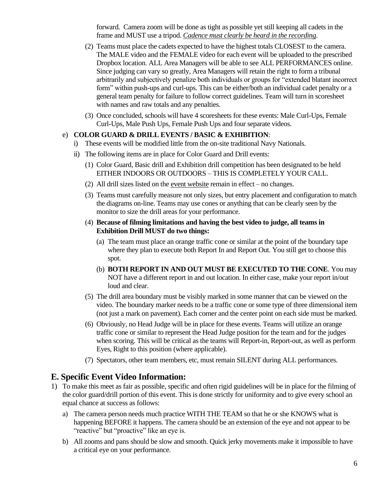forward. Camera zoom will be done as tight as possible yet still keeping all cadets in the frame and MUST use a tripod. *Cadence must clearly be heard in the recording*.

- (2) Teams must place the cadets expected to have the highest totals CLOSEST to the camera. The MALE video and the FEMALE video for each event will be uploaded to the prescribed Dropbox location. ALL Area Managers will be able to see ALL PERFORMANCES online. Since judging can vary so greatly, Area Managers will retain the right to form a tribunal arbitrarily and subjectively penalize both individuals or groups for "extended blatant incorrect form" within push-ups and curl-ups. This can be either/both an individual cadet penalty or a general team penalty for failure to follow correct guidelines. Team will turn in scoresheet with names and raw totals and any penalties.
- (3) Once concluded, schools will have 4 scoresheets for these events: Male Curl-Ups, Female Curl-Ups, Male Push Ups, Female Push Ups and four separate videos.

#### e) **COLOR GUARD & DRILL EVENTS / BASIC & EXHIBITION**:

- i) These events will be modified little from the on-site traditional Navy Nationals.
- ii) The following items are in place for Color Guard and Drill events:
	- (1) Color Guard, Basic drill and Exhibition drill competition has been designated to be held EITHER INDOORS OR OUTDOORS – THIS IS COMPLETELY YOUR CALL.
	- (2) All drill sizes listed on the [event website](http://www.thenationals.net/nn-3-5-drill_areas.pdf) remain in effect no changes.
	- (3) Teams must carefully measure not only sizes, but entry placement and configuration to match the diagrams on-line. Teams may use cones or anything that can be clearly seen by the monitor to size the drill areas for your performance.
	- (4) **Because of filming limitations and having the best video to judge, all teams in Exhibition Drill MUST do two things:**
		- (a) The team must place an orange traffic cone or similar at the point of the boundary tape where they plan to execute both Report In and Report Out. You still get to choose this spot.
		- (b) **BOTH REPORT IN AND OUT MUST BE EXECUTED TO THE CONE**. You may NOT have a different report in and out location. In either case, make your report in/out loud and clear.
	- (5) The drill area boundary must be visibly marked in some manner that can be viewed on the video. The boundary marker needs to be a traffic cone or some type of three dimensional item (not just a mark on pavement). Each corner and the center point on each side must be marked.
	- (6) Obviously, no Head Judge will be in place for these events. Teams will utilize an orange traffic cone or similar to represent the Head Judge position for the team and for the judges when scoring. This will be critical as the teams will Report-in, Report-out, as well as perform Eyes, Right to this position (where applicable).
	- (7) Spectators, other team members, etc, must remain SILENT during ALL performances.

## **E. Specific Event Video Information:**

- 1) To make this meet as fair as possible, specific and often rigid guidelines will be in place for the filming of the color guard/drill portion of this event. This is done strictly for uniformity and to give every school an equal chance at success as follows:
	- a) The camera person needs much practice WITH THE TEAM so that he or she KNOWS what is happening BEFORE it happens. The camera should be an extension of the eye and not appear to be "reactive" but "proactive" like an eye is.
	- b) All zooms and pans should be slow and smooth. Quick jerky movements make it impossible to have a critical eye on your performance.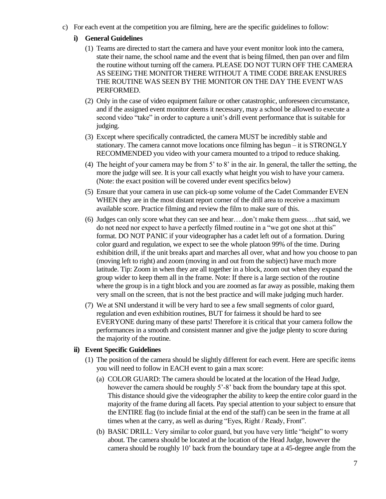c) For each event at the competition you are filming, here are the specific guidelines to follow:

#### **i) General Guidelines**

- (1) Teams are directed to start the camera and have your event monitor look into the camera, state their name, the school name and the event that is being filmed, then pan over and film the routine without turning off the camera. PLEASE DO NOT TURN OFF THE CAMERA AS SEEING THE MONITOR THERE WITHOUT A TIME CODE BREAK ENSURES THE ROUTINE WAS SEEN BY THE MONITOR ON THE DAY THE EVENT WAS PERFORMED.
- (2) Only in the case of video equipment failure or other catastrophic, unforeseen circumstance, and if the assigned event monitor deems it necessary, may a school be allowed to execute a second video "take" in order to capture a unit's drill event performance that is suitable for judging.
- (3) Except where specifically contradicted, the camera MUST be incredibly stable and stationary. The camera cannot move locations once filming has begun – it is STRONGLY RECOMMENDED you video with your camera mounted to a tripod to reduce shaking.
- (4) The height of your camera may be from 5' to 8' in the air. In general, the taller the setting, the more the judge will see. It is your call exactly what height you wish to have your camera. (Note: the exact position will be covered under event specifics below)
- (5) Ensure that your camera in use can pick-up some volume of the Cadet Commander EVEN WHEN they are in the most distant report corner of the drill area to receive a maximum available score. Practice filming and review the film to make sure of this.
- (6) Judges can only score what they can see and hear….don't make them guess….that said, we do not need nor expect to have a perfectly filmed routine in a "we got one shot at this" format. DO NOT PANIC if your videographer has a cadet left out of a formation. During color guard and regulation, we expect to see the whole platoon 99% of the time. During exhibition drill, if the unit breaks apart and marches all over, what and how you choose to pan (moving left to right) and zoom (moving in and out from the subject) have much more latitude. Tip: Zoom in when they are all together in a block, zoom out when they expand the group wider to keep them all in the frame. Note: If there is a large section of the routine where the group is in a tight block and you are zoomed as far away as possible, making them very small on the screen, that is not the best practice and will make judging much harder.
- (7) We at SNI understand it will be very hard to see a few small segments of color guard, regulation and even exhibition routines, BUT for fairness it should be hard to see EVERYONE during many of these parts! Therefore it is critical that your camera follow the performances in a smooth and consistent manner and give the judge plenty to score during the majority of the routine.

#### **ii) Event Specific Guidelines**

- (1) The position of the camera should be slightly different for each event. Here are specific items you will need to follow in EACH event to gain a max score:
	- (a) COLOR GUARD: The camera should be located at the location of the Head Judge, however the camera should be roughly 5'-8' back from the boundary tape at this spot. This distance should give the videographer the ability to keep the entire color guard in the majority of the frame during all facets. Pay special attention to your subject to ensure that the ENTIRE flag (to include finial at the end of the staff) can be seen in the frame at all times when at the carry, as well as during "Eyes, Right / Ready, Front".
	- (b) BASIC DRILL: Very similar to color guard, but you have very little "height" to worry about. The camera should be located at the location of the Head Judge, however the camera should be roughly 10' back from the boundary tape at a 45-degree angle from the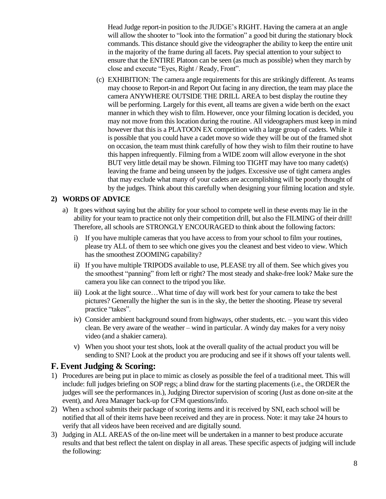Head Judge report-in position to the JUDGE's RIGHT. Having the camera at an angle will allow the shooter to "look into the formation" a good bit during the stationary block commands. This distance should give the videographer the ability to keep the entire unit in the majority of the frame during all facets. Pay special attention to your subject to ensure that the ENTIRE Platoon can be seen (as much as possible) when they march by close and execute "Eyes, Right / Ready, Front".

(c) EXHIBITION: The camera angle requirements for this are strikingly different. As teams may choose to Report-in and Report Out facing in any direction, the team may place the camera ANYWHERE OUTSIDE THE DRILL AREA to best display the routine they will be performing. Largely for this event, all teams are given a wide berth on the exact manner in which they wish to film. However, once your filming location is decided, you may not move from this location during the routine. All videographers must keep in mind however that this is a PLATOON EX competition with a large group of cadets. While it is possible that you could have a cadet move so wide they will be out of the framed shot on occasion, the team must think carefully of how they wish to film their routine to have this happen infrequently. Filming from a WIDE zoom will allow everyone in the shot BUT very little detail may be shown. Filming too TIGHT may have too many cadet(s) leaving the frame and being unseen by the judges. Excessive use of tight camera angles that may exclude what many of your cadets are accomplishing will be poorly thought of by the judges. Think about this carefully when designing your filming location and style.

## **2) WORDS OF ADVICE**

- a) It goes without saying but the ability for your school to compete well in these events may lie in the ability for your team to practice not only their competition drill, but also the FILMING of their drill! Therefore, all schools are STRONGLY ENCOURAGED to think about the following factors:
	- i) If you have multiple cameras that you have access to from your school to film your routines, please try ALL of them to see which one gives you the cleanest and best video to view. Which has the smoothest ZOOMING capability?
	- ii) If you have multiple TRIPODS available to use, PLEASE try all of them. See which gives you the smoothest "panning" from left or right? The most steady and shake-free look? Make sure the camera you like can connect to the tripod you like.
	- iii) Look at the light source…What time of day will work best for your camera to take the best pictures? Generally the higher the sun is in the sky, the better the shooting. Please try several practice "takes".
	- iv) Consider ambient background sound from highways, other students, etc. you want this video clean. Be very aware of the weather – wind in particular. A windy day makes for a very noisy video (and a shakier camera).
	- v) When you shoot your test shots, look at the overall quality of the actual product you will be sending to SNI? Look at the product you are producing and see if it shows off your talents well.

## **F. Event Judging & Scoring:**

- 1) Procedures are being put in place to mimic as closely as possible the feel of a traditional meet. This will include: full judges briefing on SOP regs; a blind draw for the starting placements (i.e., the ORDER the judges will see the performances in.), Judging Director supervision of scoring (Just as done on-site at the event), and Area Manager back-up for CFM questions/info.
- 2) When a school submits their package of scoring items and it is received by SNI, each school will be notified that all of their items have been received and they are in process. Note: it may take 24 hours to verify that all videos have been received and are digitally sound.
- 3) Judging in ALL AREAS of the on-line meet will be undertaken in a manner to best produce accurate results and that best reflect the talent on display in all areas. These specific aspects of judging will include the following: